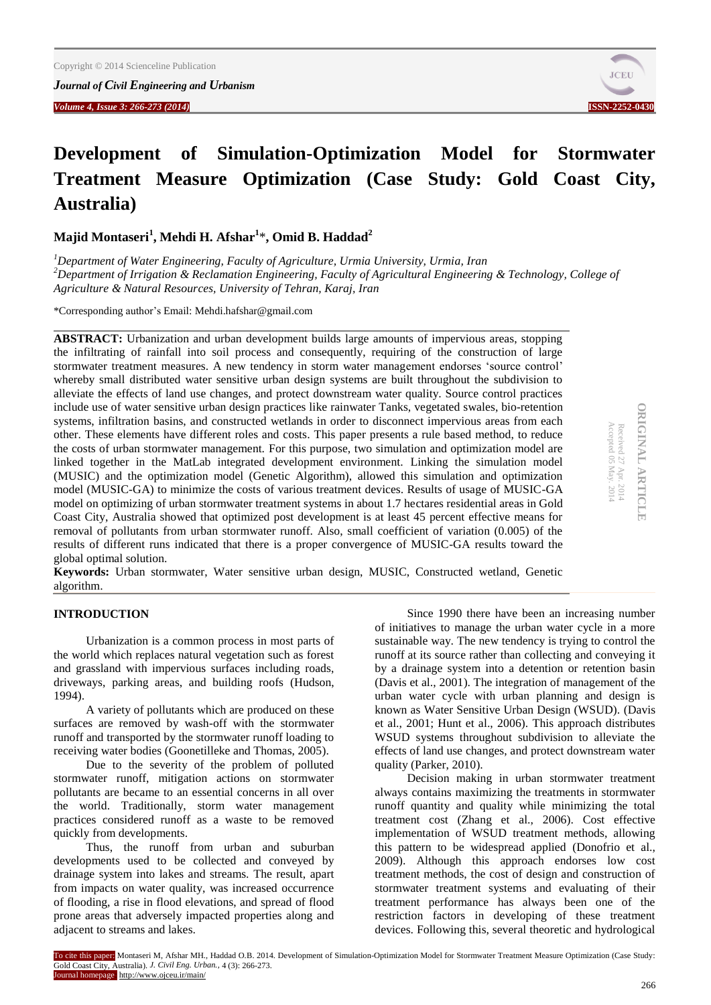*Journal of Civil Engineering and Urbanism*

*Volume 4, Issue 3: 266-273 (2014)* **ISSN-2252-0430**



**ORIGINAL ARTICLE**

**ORIGINAL ARTICLE** 

Received 27

Accepted 05

Apr. 2014 May. 2014

# **Development of Simulation-Optimization Model for Stormwater Treatment Measure Optimization (Case Study: Gold Coast City, Australia)**

**Majid Montaseri<sup>1</sup> , Mehdi H. Afshar<sup>1</sup>** \***, Omid B. Haddad<sup>2</sup>**

*<sup>1</sup>Department of Water Engineering, Faculty of Agriculture, Urmia University, Urmia, Iran <sup>2</sup>Department of Irrigation & Reclamation Engineering, Faculty of Agricultural Engineering & Technology, College of Agriculture & Natural Resources, University of Tehran, Karaj, Iran*

\*Corresponding author's Email: Mehdi.hafshar@gmail.com

**ABSTRACT:** Urbanization and urban development builds large amounts of impervious areas, stopping the infiltrating of rainfall into soil process and consequently, requiring of the construction of large stormwater treatment measures. A new tendency in storm water management endorses 'source control' whereby small distributed water sensitive urban design systems are built throughout the subdivision to alleviate the effects of land use changes, and protect downstream water quality. Source control practices include use of water sensitive urban design practices like rainwater Tanks, vegetated swales, bio-retention systems, infiltration basins, and constructed wetlands in order to disconnect impervious areas from each other. These elements have different roles and costs. This paper presents a rule based method, to reduce the costs of urban stormwater management. For this purpose, two simulation and optimization model are linked together in the MatLab integrated development environment. Linking the simulation model (MUSIC) and the optimization model (Genetic Algorithm), allowed this simulation and optimization model (MUSIC-GA) to minimize the costs of various treatment devices. Results of usage of MUSIC-GA model on optimizing of urban stormwater treatment systems in about 1.7 hectares residential areas in Gold Coast City, Australia showed that optimized post development is at least 45 percent effective means for removal of pollutants from urban stormwater runoff. Also, small coefficient of variation (0.005) of the results of different runs indicated that there is a proper convergence of MUSIC-GA results toward the global optimal solution.

**Keywords:** Urban stormwater, Water sensitive urban design, MUSIC, Constructed wetland, Genetic algorithm.

# **INTRODUCTION**

Urbanization is a common process in most parts of the world which replaces natural vegetation such as forest and grassland with impervious surfaces including roads, driveways, parking areas, and building roofs [\(Hudson,](#page-6-0)  [1994\)](#page-6-0).

A variety of pollutants which are produced on these surfaces are removed by wash-off with the stormwater runoff and transported by the stormwater runoff loading to receiving water bodies [\(Goonetilleke and Thomas, 2005\)](#page-6-1).

Due to the severity of the problem of polluted stormwater runoff, mitigation actions on stormwater pollutants are became to an essential concerns in all over the world. Traditionally, storm water management practices considered runoff as a waste to be removed quickly from developments.

Thus, the runoff from urban and suburban developments used to be collected and conveyed by drainage system into lakes and streams. The result, apart from impacts on water quality, was increased occurrence of flooding, a rise in flood elevations, and spread of flood prone areas that adversely impacted properties along and adjacent to streams and lakes.

Since 1990 there have been an increasing number of initiatives to manage the urban water cycle in a more sustainable way. The new tendency is trying to control the runoff at its source rather than collecting and conveying it by a drainage system into a detention or retention basin [\(Davis et al., 2001\)](#page-6-2). The integration of management of the urban water cycle with urban planning and design is known as Water Sensitive Urban Design (WSUD). [\(Davis](#page-6-2)  [et al., 2001;](#page-6-2) [Hunt et al., 2006\)](#page-6-3). This approach distributes WSUD systems throughout subdivision to alleviate the effects of land use changes, and protect downstream water quality [\(Parker, 2010\)](#page-7-0).

Decision making in urban stormwater treatment always contains maximizing the treatments in stormwater runoff quantity and quality while minimizing the total treatment cost [\(Zhang et al., 2006\)](#page-7-1). Cost effective implementation of WSUD treatment methods, allowing this pattern to be widespread applied [\(Donofrio et al.,](#page-6-4)  [2009\)](#page-6-4). Although this approach endorses low cost treatment methods, the cost of design and construction of stormwater treatment systems and evaluating of their treatment performance has always been one of the restriction factors in developing of these treatment devices. Following this, several theoretic and hydrological

To cite this paper: Montaseri M, Afshar MH., Haddad O.B. 2014. Development of Simulation-Optimization Model for Stormwater Treatment Measure Optimization (Case Study: Gold Coast City, Australia). *J. Civil Eng. Urban.,* 4 (3): 266-273. Journal homepage: http://www.ojceu.ir/main/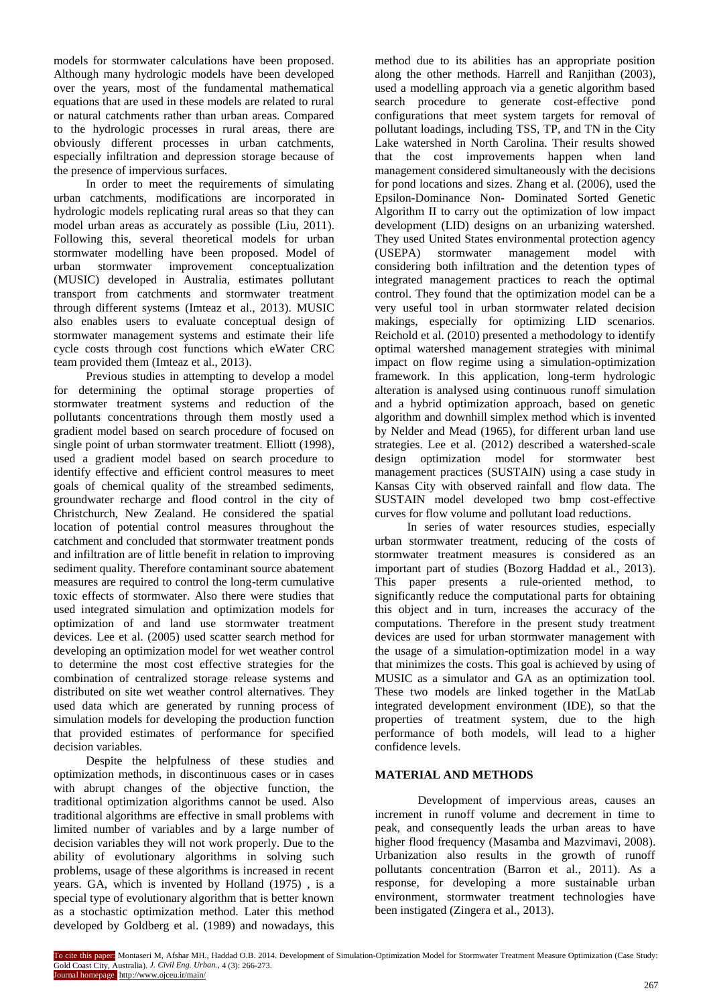models for stormwater calculations have been proposed. Although many hydrologic models have been developed over the years, most of the fundamental mathematical equations that are used in these models are related to rural or natural catchments rather than urban areas. Compared to the hydrologic processes in rural areas, there are obviously different processes in urban catchments, especially infiltration and depression storage because of the presence of impervious surfaces.

In order to meet the requirements of simulating urban catchments, modifications are incorporated in hydrologic models replicating rural areas so that they can model urban areas as accurately as possible [\(Liu, 2011\)](#page-7-2). Following this, several theoretical models for urban stormwater modelling have been proposed. Model of urban stormwater improvement conceptualization (MUSIC) developed in Australia, estimates pollutant transport from catchments and stormwater treatment through different systems [\(Imteaz et al., 2013\)](#page-6-5). MUSIC also enables users to evaluate conceptual design of stormwater management systems and estimate their life cycle costs through cost functions which eWater CRC team provided them [\(Imteaz et al., 2013\)](#page-6-5).

Previous studies in attempting to develop a model for determining the optimal storage properties of stormwater treatment systems and reduction of the pollutants concentrations through them mostly used a gradient model based on search procedure of focused on single point of urban stormwater treatment. [Elliott \(1998\),](#page-6-6) used a gradient model based on search procedure to identify effective and efficient control measures to meet goals of chemical quality of the streambed sediments, groundwater recharge and flood control in the city of Christchurch, New Zealand. He considered the spatial location of potential control measures throughout the catchment and concluded that stormwater treatment ponds and infiltration are of little benefit in relation to improving sediment quality. Therefore contaminant source abatement measures are required to control the long-term cumulative toxic effects of stormwater. Also there were studies that used integrated simulation and optimization models for optimization of and land use stormwater treatment devices. [Lee et al. \(2005\)](#page-6-7) used scatter search method for developing an optimization model for wet weather control to determine the most cost effective strategies for the combination of centralized storage release systems and distributed on site wet weather control alternatives. They used data which are generated by running process of simulation models for developing the production function that provided estimates of performance for specified decision variables.

Despite the helpfulness of these studies and optimization methods, in discontinuous cases or in cases with abrupt changes of the objective function, the traditional optimization algorithms cannot be used. Also traditional algorithms are effective in small problems with limited number of variables and by a large number of decision variables they will not work properly. Due to the ability of evolutionary algorithms in solving such problems, usage of these algorithms is increased in recent years. GA, which is invented by [Holland \(1975\)](#page-6-8) , is a special type of evolutionary algorithm that is better known as a stochastic optimization method. Later this method developed by [Goldberg et al. \(1989\)](#page-6-9) and nowadays, this

method due to its abilities has an appropriate position along the other methods. [Harrell and Ranjithan \(2003\),](#page-6-10) used a modelling approach via a genetic algorithm based search procedure to generate cost-effective pond configurations that meet system targets for removal of pollutant loadings, including TSS, TP, and TN in the City Lake watershed in North Carolina. Their results showed that the cost improvements happen when land management considered simultaneously with the decisions for pond locations and sizes. [Zhang et al. \(2006\),](#page-7-1) used the Epsilon-Dominance Non- Dominated Sorted Genetic Algorithm II to carry out the optimization of low impact development (LID) designs on an urbanizing watershed. They used United States environmental protection agency (USEPA) stormwater management model with considering both infiltration and the detention types of integrated management practices to reach the optimal control. They found that the optimization model can be a very useful tool in urban stormwater related decision makings, especially for optimizing LID scenarios. [Reichold et al. \(2010\)](#page-7-3) presented a methodology to identify optimal watershed management strategies with minimal impact on flow regime using a simulation-optimization framework. In this application, long-term hydrologic alteration is analysed using continuous runoff simulation and a hybrid optimization approach, based on genetic algorithm and downhill simplex method which is invented by [Nelder and Mead \(1965\),](#page-7-4) for different urban land use strategies. [Lee et al. \(2012\)](#page-7-5) described a watershed-scale design optimization model for stormwater best management practices (SUSTAIN) using a case study in Kansas City with observed rainfall and flow data. The SUSTAIN model developed two bmp cost-effective curves for flow volume and pollutant load reductions.

In series of water resources studies, especially urban stormwater treatment, reducing of the costs of stormwater treatment measures is considered as an important part of studies [\(Bozorg Haddad et al., 2013\)](#page-6-11). This paper presents a rule-oriented method, to significantly reduce the computational parts for obtaining this object and in turn, increases the accuracy of the computations. Therefore in the present study treatment devices are used for urban stormwater management with the usage of a simulation-optimization model in a way that minimizes the costs. This goal is achieved by using of MUSIC as a simulator and GA as an optimization tool. These two models are linked together in the MatLab integrated development environment (IDE), so that the properties of treatment system, due to the high performance of both models, will lead to a higher confidence levels.

### **MATERIAL AND METHODS**

Development of impervious areas, causes an increment in runoff volume and decrement in time to peak, and consequently leads the urban areas to have higher flood frequency [\(Masamba and Mazvimavi, 2008\)](#page-7-6). Urbanization also results in the growth of runoff pollutants concentration [\(Barron et al., 2011\)](#page-6-12). As a response, for developing a more sustainable urban environment, stormwater treatment technologies have been instigated [\(Zingera et al., 2013\)](#page-7-7).

To cite this paper: Montaseri M, Afshar MH., Haddad O.B. 2014. Development of Simulation-Optimization Model for Stormwater Treatment Measure Optimization (Case Study: Gold Coast City, Australia). *J. Civil Eng. Urban.,* 4 (3): 266-273. Journal homepage: http://www.ojceu.ir/main/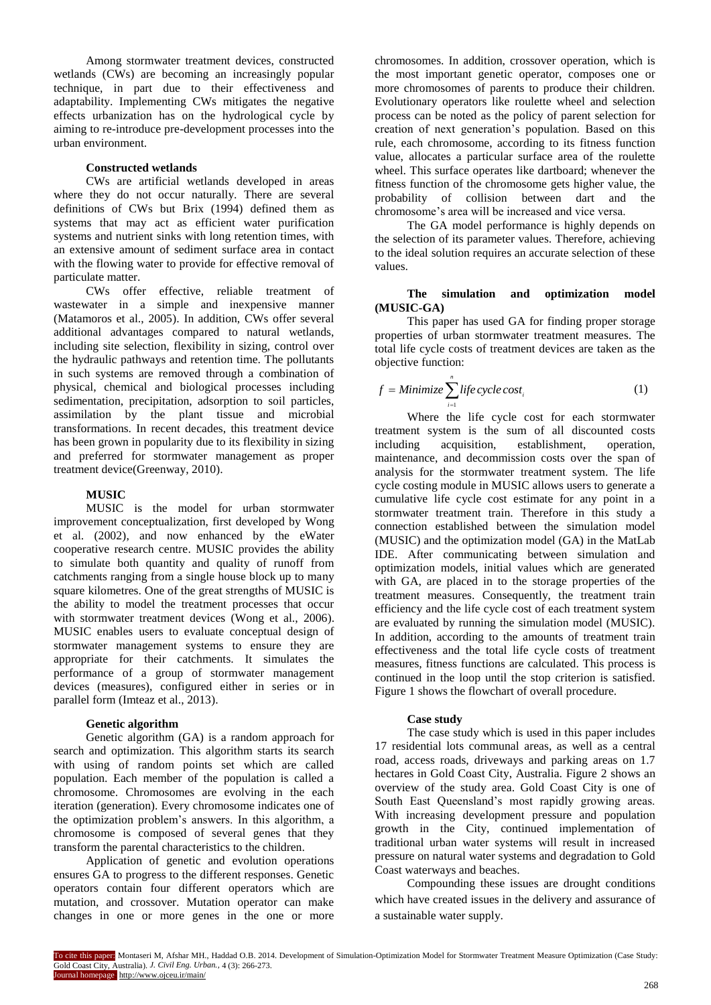Among stormwater treatment devices, constructed wetlands (CWs) are becoming an increasingly popular technique, in part due to their effectiveness and adaptability. Implementing CWs mitigates the negative effects urbanization has on the hydrological cycle by aiming to re-introduce pre-development processes into the urban environment.

### **Constructed wetlands**

CWs are artificial wetlands developed in areas where they do not occur naturally. There are several definitions of CWs but [Brix \(1994\)](#page-6-13) defined them as systems that may act as efficient water purification systems and nutrient sinks with long retention times, with an extensive amount of sediment surface area in contact with the flowing water to provide for effective removal of particulate matter.

CWs offer effective, reliable treatment of wastewater in a simple and inexpensive manner [\(Matamoros et al., 2005\)](#page-7-8). In addition, CWs offer several additional advantages compared to natural wetlands, including site selection, flexibility in sizing, control over the hydraulic pathways and retention time. The pollutants in such systems are removed through a combination of physical, chemical and biological processes including sedimentation, precipitation, adsorption to soil particles, assimilation by the plant tissue and microbial transformations. In recent decades, this treatment device has been grown in popularity due to its flexibility in sizing and preferred for stormwater management as proper treatment device[\(Greenway, 2010\)](#page-6-14).

## **MUSIC**

MUSIC is the model for urban stormwater improvement conceptualization, first developed by [Wong](#page-7-9)  et al. (2002), and now enhanced by the eWater cooperative research centre. MUSIC provides the ability to simulate both quantity and quality of runoff from catchments ranging from a single house block up to many square kilometres. One of the great strengths of MUSIC is the ability to model the treatment processes that occur with stormwater treatment devices [\(Wong et al., 2006\)](#page-7-10). MUSIC enables users to evaluate conceptual design of stormwater management systems to ensure they are appropriate for their catchments. It simulates the performance of a group of stormwater management devices (measures), configured either in series or in parallel form [\(Imteaz et al., 2013\)](#page-6-5).

### **Genetic algorithm**

Genetic algorithm (GA) is a random approach for search and optimization. This algorithm starts its search with using of random points set which are called population. Each member of the population is called a chromosome. Chromosomes are evolving in the each iteration (generation). Every chromosome indicates one of the optimization problem's answers. In this algorithm, a chromosome is composed of several genes that they transform the parental characteristics to the children.

Application of genetic and evolution operations ensures GA to progress to the different responses. Genetic operators contain four different operators which are mutation, and crossover. Mutation operator can make changes in one or more genes in the one or more

chromosomes. In addition, crossover operation, which is the most important genetic operator, composes one or more chromosomes of parents to produce their children. Evolutionary operators like roulette wheel and selection process can be noted as the policy of parent selection for creation of next generation's population. Based on this rule, each chromosome, according to its fitness function value, allocates a particular surface area of the roulette wheel. This surface operates like dartboard; whenever the fitness function of the chromosome gets higher value, the probability of collision between dart and the chromosome's area will be increased and vice versa.

The GA model performance is highly depends on the selection of its parameter values. Therefore, achieving to the ideal solution requires an accurate selection of these values.

#### **The simulation and optimization model (MUSIC-GA)**

This paper has used GA for finding proper storage properties of urban stormwater treatment measures. The total life cycle costs of treatment devices are taken as the objective function:

$$
f = \text{Minimize} \sum_{i=1}^{n} \text{life cycle cost}_i \tag{1}
$$

Where the life cycle cost for each stormwater treatment system is the sum of all discounted costs including acquisition, establishment, operation, maintenance, and decommission costs over the span of analysis for the stormwater treatment system. The life cycle costing module in MUSIC allows users to generate a cumulative life cycle cost estimate for any point in a stormwater treatment train. Therefore in this study a connection established between the simulation model (MUSIC) and the optimization model (GA) in the MatLab IDE. After communicating between simulation and optimization models, initial values which are generated with GA, are placed in to the storage properties of the treatment measures. Consequently, the treatment train efficiency and the life cycle cost of each treatment system are evaluated by running the simulation model (MUSIC). In addition, according to the amounts of treatment train effectiveness and the total life cycle costs of treatment measures, fitness functions are calculated. This process is continued in the loop until the stop criterion is satisfied. Figure 1 shows the flowchart of overall procedure.

#### **Case study**

The case study which is used in this paper includes 17 residential lots communal areas, as well as a central road, access roads, driveways and parking areas on 1.7 hectares in Gold Coast City, Australia. Figure 2 shows an overview of the study area. Gold Coast City is one of South East Queensland's most rapidly growing areas. With increasing development pressure and population growth in the City, continued implementation of traditional urban water systems will result in increased pressure on natural water systems and degradation to Gold Coast waterways and beaches.

Compounding these issues are drought conditions which have created issues in the delivery and assurance of a sustainable water supply.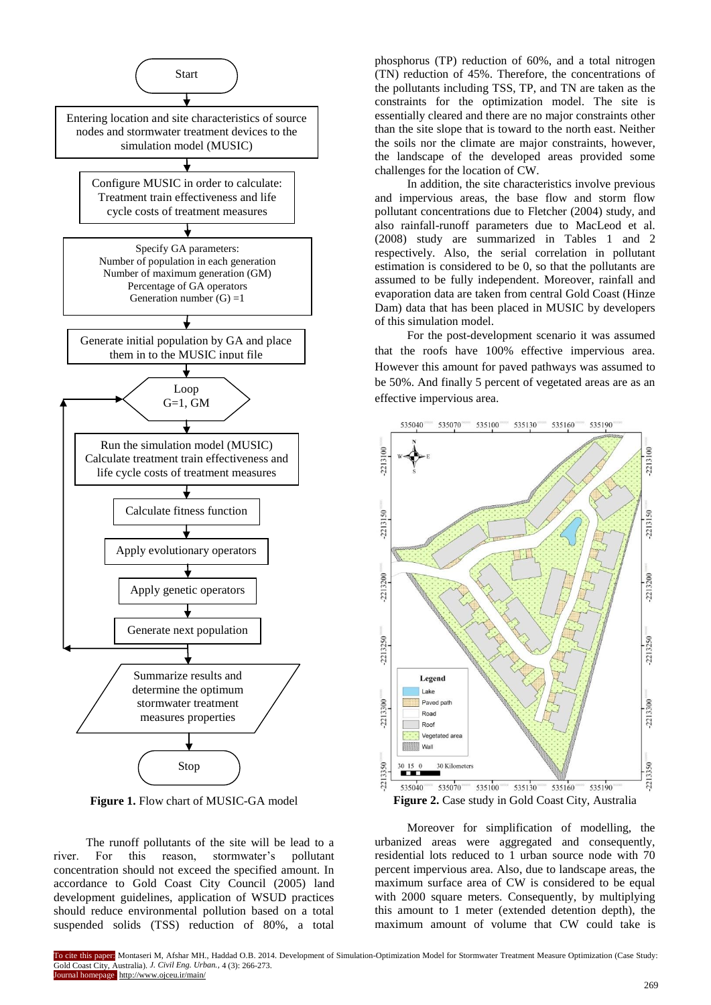

**Figure 1.** Flow chart of MUSIC-GA model

The runoff pollutants of the site will be lead to a river. For this reason, stormwater's pollutant concentration should not exceed the specified amount. In accordance to [Gold Coast City Council \(2005\)](#page-6-15) land development guidelines, application of WSUD practices should reduce environmental pollution based on a total suspended solids (TSS) reduction of 80%, a total

phosphorus (TP) reduction of 60%, and a total nitrogen (TN) reduction of 45%. Therefore, the concentrations of the pollutants including TSS, TP, and TN are taken as the constraints for the optimization model. The site is essentially cleared and there are no major constraints other than the site slope that is toward to the north east. Neither the soils nor the climate are major constraints, however, the landscape of the developed areas provided some challenges for the location of CW.

In addition, the site characteristics involve previous and impervious areas, the base flow and storm flow pollutant concentrations due to [Fletcher \(2004\)](#page-6-16) study, and also rainfall-runoff parameters due to [MacLeod et al.](#page-7-11)  (2008) study are summarized in Tables 1 and 2 respectively. Also, the serial correlation in pollutant estimation is considered to be 0, so that the pollutants are assumed to be fully independent. Moreover, rainfall and evaporation data are taken from central Gold Coast (Hinze Dam) data that has been placed in MUSIC by developers of this simulation model.

For the post-development scenario it was assumed that the roofs have 100% effective impervious area. However this amount for paved pathways was assumed to be 50%. And finally 5 percent of vegetated areas are as an effective impervious area.



Moreover for simplification of modelling, the urbanized areas were aggregated and consequently, residential lots reduced to 1 urban source node with 70 percent impervious area. Also, due to landscape areas, the maximum surface area of CW is considered to be equal with 2000 square meters. Consequently, by multiplying this amount to 1 meter (extended detention depth), the maximum amount of volume that CW could take is

To cite this paper: Montaseri M, Afshar MH., Haddad O.B. 2014. Development of Simulation-Optimization Model for Stormwater Treatment Measure Optimization (Case Study: Gold Coast City, Australia). *J. Civil Eng. Urban.,* 4 (3): 266-273. burnal homepage: http://www.ojceu.ir/main/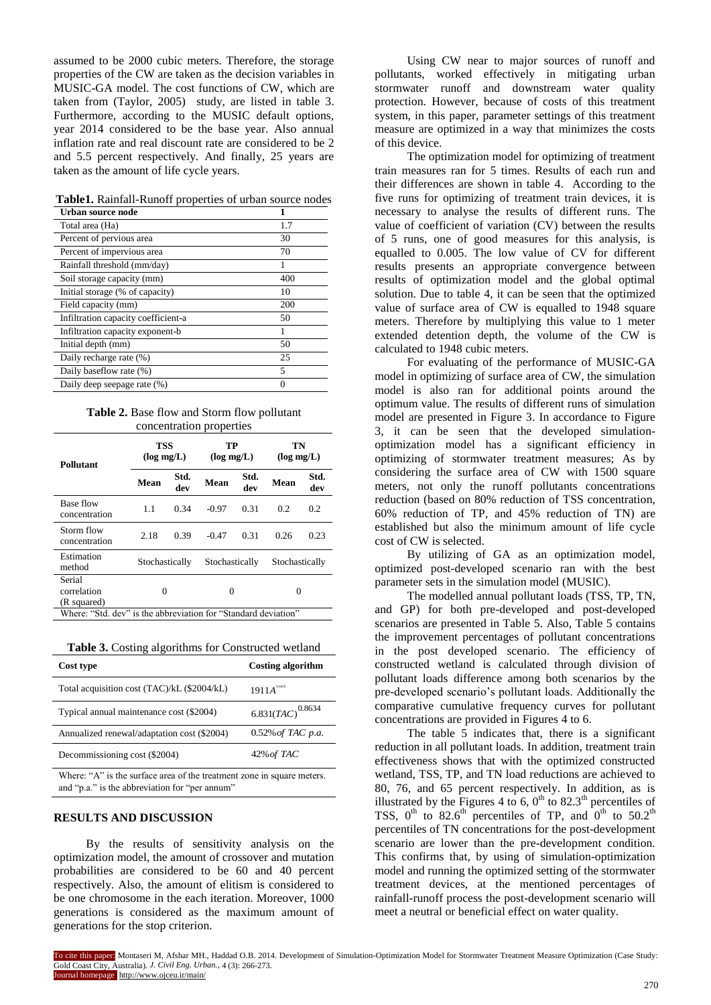assumed to be 2000 cubic meters. Therefore, the storage properties of the CW are taken as the decision variables in MUSIC-GA model. The cost functions of CW, which are taken from [\(Taylor, 2005\)](#page-7-12) study, are listed in table 3. Furthermore, according to the MUSIC default options, year 2014 considered to be the base year. Also annual inflation rate and real discount rate are considered to be 2 and 5.5 percent respectively. And finally, 25 years are taken as the amount of life cycle years.

**Table1.** Rainfall-Runoff properties of urban source nodes

| Urban source node                   |     |
|-------------------------------------|-----|
| Total area (Ha)                     | 1.7 |
| Percent of pervious area            | 30  |
| Percent of impervious area          | 70  |
| Rainfall threshold (mm/day)         |     |
| Soil storage capacity (mm)          | 400 |
| Initial storage (% of capacity)     | 10  |
| Field capacity (mm)                 | 200 |
| Infiltration capacity coefficient-a | 50  |
| Infiltration capacity exponent-b    |     |
| Initial depth (mm)                  | 50  |
| Daily recharge rate (%)             | 25  |
| Daily baseflow rate (%)             | 5   |
| Daily deep seepage rate (%)         | 0   |

| Table 2. Base flow and Storm flow pollutant |  |  |  |  |  |
|---------------------------------------------|--|--|--|--|--|
| concentration properties                    |  |  |  |  |  |

| Pollutant                                                      | <b>TSS</b><br>$(\log mg/L)$ |             | TР<br>$(\log mg/L)$ |             | TN<br>$(\log mg/L)$ |             |
|----------------------------------------------------------------|-----------------------------|-------------|---------------------|-------------|---------------------|-------------|
|                                                                | Mean                        | Std.<br>dev | Mean                | Std.<br>dev | Mean                | Std.<br>dev |
| Base flow<br>concentration                                     | 1.1                         | 0.34        | $-0.97$             | 0.31        | 0.2                 | 0.2         |
| Storm flow<br>concentration                                    | 2.18                        | 0.39        | $-0.47$             | 0.31        | 0.26                | 0.23        |
| Estimation<br>method                                           | Stochastically              |             | Stochastically      |             | Stochastically      |             |
| Serial<br>correlation<br>(R squared)                           | 0                           |             | $\Omega$            |             | 0                   |             |
| Where: "Std. dev" is the abbreviation for "Standard deviation" |                             |             |                     |             |                     |             |

**Table 3.** Costing algorithms for Constructed wetland

| Cost type                                   | <b>Costing algorithm</b>     |
|---------------------------------------------|------------------------------|
| Total acquisition cost (TAC)/kL (\$2004/kL) | $1911A^{0.6435}$             |
| Typical annual maintenance cost (\$2004)    | 6.831(TAC) <sup>0.8634</sup> |
| Annualized renewal/adaptation cost (\$2004) | $0.52\%$ of TAC p.a.         |
| Decommissioning cost (\$2004)               | $42\%$ of TAC                |
|                                             |                              |

Where: "A" is the surface area of the treatment zone in square meters. and "p.a." is the abbreviation for "per annum"

#### **RESULTS AND DISCUSSION**

By the results of sensitivity analysis on the optimization model, the amount of crossover and mutation probabilities are considered to be 60 and 40 percent respectively. Also, the amount of elitism is considered to be one chromosome in the each iteration. Moreover, 1000 generations is considered as the maximum amount of generations for the stop criterion.

Using CW near to major sources of runoff and pollutants, worked effectively in mitigating urban stormwater runoff and downstream water quality protection. However, because of costs of this treatment system, in this paper, parameter settings of this treatment measure are optimized in a way that minimizes the costs of this device.

The optimization model for optimizing of treatment train measures ran for 5 times. Results of each run and their differences are shown in table 4. According to the five runs for optimizing of treatment train devices, it is necessary to analyse the results of different runs. The value of coefficient of variation (CV) between the results of 5 runs, one of good measures for this analysis, is equalled to 0.005. The low value of CV for different results presents an appropriate convergence between results of optimization model and the global optimal solution. Due to table 4, it can be seen that the optimized value of surface area of CW is equalled to 1948 square meters. Therefore by multiplying this value to 1 meter extended detention depth, the volume of the CW is calculated to 1948 cubic meters.

For evaluating of the performance of MUSIC-GA model in optimizing of surface area of CW, the simulation model is also ran for additional points around the optimum value. The results of different runs of simulation model are presented in Figure 3. In accordance to Figure 3, it can be seen that the developed simulationoptimization model has a significant efficiency in optimizing of stormwater treatment measures; As by considering the surface area of CW with 1500 square meters, not only the runoff pollutants concentrations reduction (based on 80% reduction of TSS concentration, 60% reduction of TP, and 45% reduction of TN) are established but also the minimum amount of life cycle cost of CW is selected.

By utilizing of GA as an optimization model, optimized post-developed scenario ran with the best parameter sets in the simulation model (MUSIC).

The modelled annual pollutant loads (TSS, TP, TN, and GP) for both pre-developed and post-developed scenarios are presented in Table 5. Also, Table 5 contains the improvement percentages of pollutant concentrations in the post developed scenario. The efficiency of constructed wetland is calculated through division of pollutant loads difference among both scenarios by the pre-developed scenario's pollutant loads. Additionally the comparative cumulative frequency curves for pollutant concentrations are provided in Figures 4 to 6.

The table 5 indicates that, there is a significant reduction in all pollutant loads. In addition, treatment train effectiveness shows that with the optimized constructed wetland, TSS, TP, and TN load reductions are achieved to 80, 76, and 65 percent respectively. In addition, as is illustrated by the Figures 4 to 6,  $0<sup>th</sup>$  to 82.3<sup>th</sup> percentiles of TSS,  $0^{th}$  to 82.6<sup>th</sup> percentiles of TP, and  $0^{th}$  to 50.2<sup>th</sup> percentiles of TN concentrations for the post-development scenario are lower than the pre-development condition. This confirms that, by using of simulation-optimization model and running the optimized setting of the stormwater treatment devices, at the mentioned percentages of rainfall-runoff process the post-development scenario will meet a neutral or beneficial effect on water quality.

To cite this paper: Montaseri M, Afshar MH., Haddad O.B. 2014. Development of Simulation-Optimization Model for Stormwater Treatment Measure Optimization (Case Study: Gold Coast City, Australia). *J. Civil Eng. Urban.,* 4 (3): 266-273. Journal homepage: http://www.ojceu.ir/main/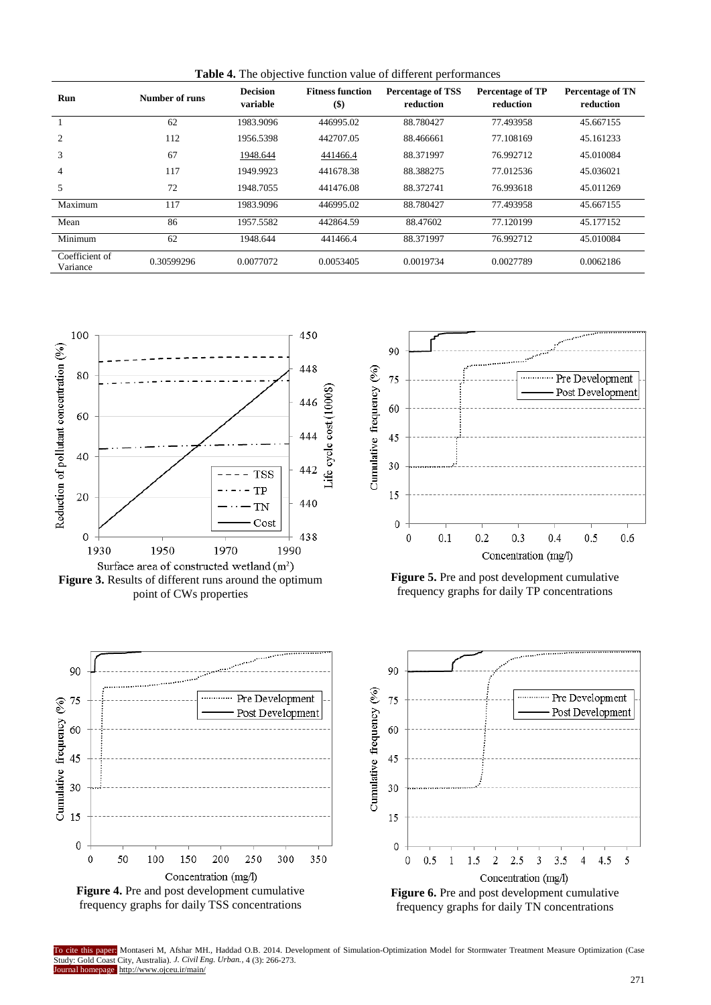| Run                        | Number of runs | <b>Decision</b><br>variable | <b>Fitness function</b><br>$($ \$) | <b>Percentage of TSS</b><br>reduction | <b>Percentage of TP</b><br>reduction | <b>Percentage of TN</b><br>reduction |
|----------------------------|----------------|-----------------------------|------------------------------------|---------------------------------------|--------------------------------------|--------------------------------------|
|                            | 62             | 1983.9096                   | 446995.02                          | 88.780427                             | 77.493958                            | 45.667155                            |
| $\overline{c}$             | 112            | 1956.5398                   | 442707.05                          | 88.466661                             | 77.108169                            | 45.161233                            |
| 3                          | 67             | 1948.644                    | 441466.4                           | 88.371997                             | 76.992712                            | 45.010084                            |
| $\overline{4}$             | 117            | 1949.9923                   | 441678.38                          | 88.388275                             | 77.012536                            | 45.036021                            |
| 5                          | 72             | 1948.7055                   | 441476.08                          | 88.372741                             | 76.993618                            | 45.011269                            |
| Maximum                    | 117            | 1983.9096                   | 446995.02                          | 88.780427                             | 77.493958                            | 45.667155                            |
| Mean                       | 86             | 1957.5582                   | 442864.59                          | 88.47602                              | 77.120199                            | 45.177152                            |
| Minimum                    | 62             | 1948.644                    | 441466.4                           | 88.371997                             | 76.992712                            | 45.010084                            |
| Coefficient of<br>Variance | 0.30599296     | 0.0077072                   | 0.0053405                          | 0.0019734                             | 0.0027789                            | 0.0062186                            |

**Table 4.** The objective function value of different performances



Surface area of constructed wetland (m<sup>2</sup>) Figure 3. Results of different runs around the optimum point of CWs properties











To cite this paper: Montaseri M, Afshar MH., Haddad O.B. 2014. Development of Simulation-Optimization Model for Stormwater Treatment Measure Optimization (Case Study: Gold Coast City, Australia). *J. Civil Eng. Urban.,* 4 (3): 266-273. Journal homepage: http://www.ojceu.ir/main/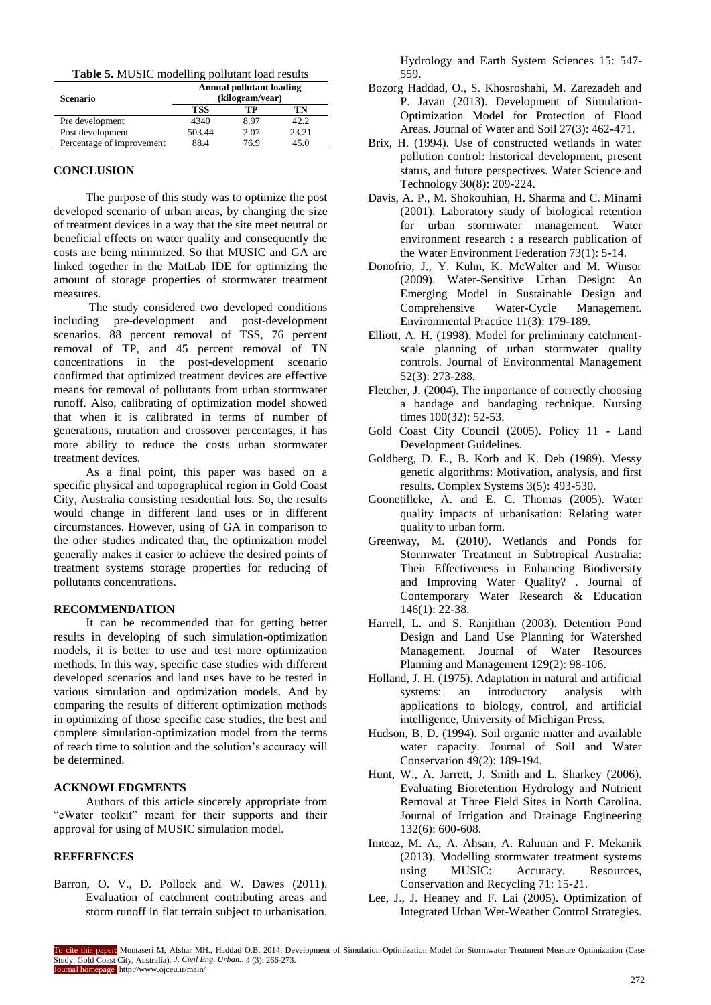**Table 5.** MUSIC modelling pollutant load results

| <b>Scenario</b>           | <b>Annual pollutant loading</b><br>(kilogram/year) |      |       |  |  |
|---------------------------|----------------------------------------------------|------|-------|--|--|
|                           | <b>TSS</b>                                         | TР   | TN    |  |  |
| Pre development           | 4340                                               | 8.97 | 12.2  |  |  |
| Post development          | 503.44                                             | 2.07 | 23.21 |  |  |
| Percentage of improvement | 88.4                                               | 76.9 | 45.0  |  |  |

#### **CONCLUSION**

The purpose of this study was to optimize the post developed scenario of urban areas, by changing the size of treatment devices in a way that the site meet neutral or beneficial effects on water quality and consequently the costs are being minimized. So that MUSIC and GA are linked together in the MatLab IDE for optimizing the amount of storage properties of stormwater treatment measures.

The study considered two developed conditions including pre-development and post-development scenarios. 88 percent removal of TSS, 76 percent removal of TP, and 45 percent removal of TN concentrations in the post-development scenario confirmed that optimized treatment devices are effective means for removal of pollutants from urban stormwater runoff. Also, calibrating of optimization model showed that when it is calibrated in terms of number of generations, mutation and crossover percentages, it has more ability to reduce the costs urban stormwater treatment devices.

As a final point, this paper was based on a specific physical and topographical region in Gold Coast City, Australia consisting residential lots. So, the results would change in different land uses or in different circumstances. However, using of GA in comparison to the other studies indicated that, the optimization model generally makes it easier to achieve the desired points of treatment systems storage properties for reducing of pollutants concentrations.

#### **RECOMMENDATION**

It can be recommended that for getting better results in developing of such simulation-optimization models, it is better to use and test more optimization methods. In this way, specific case studies with different developed scenarios and land uses have to be tested in various simulation and optimization models. And by comparing the results of different optimization methods in optimizing of those specific case studies, the best and complete simulation-optimization model from the terms of reach time to solution and the solution's accuracy will be determined.

## **ACKNOWLEDGMENTS**

Authors of this article sincerely appropriate from "eWater toolkit" meant for their supports and their approval for using of MUSIC simulation model.

# **REFERENCES**

<span id="page-6-12"></span>Barron, O. V., D. Pollock and W. Dawes (2011). Evaluation of catchment contributing areas and storm runoff in flat terrain subject to urbanisation.

Hydrology and Earth System Sciences 15: 547- 559.

- <span id="page-6-11"></span>Bozorg Haddad, O., S. Khosroshahi, M. Zarezadeh and P. Javan (2013). Development of Simulation-Optimization Model for Protection of Flood Areas. Journal of Water and Soil 27(3): 462-471.
- <span id="page-6-13"></span>Brix, H. (1994). Use of constructed wetlands in water pollution control: historical development, present status, and future perspectives. Water Science and Technology 30(8): 209-224.
- <span id="page-6-2"></span>Davis, A. P., M. Shokouhian, H. Sharma and C. Minami (2001). Laboratory study of biological retention for urban stormwater management. Water environment research : a research publication of the Water Environment Federation 73(1): 5-14.
- <span id="page-6-4"></span>Donofrio, J., Y. Kuhn, K. McWalter and M. Winsor (2009). Water-Sensitive Urban Design: An Emerging Model in Sustainable Design and Comprehensive Water-Cycle Management. Environmental Practice 11(3): 179-189.
- <span id="page-6-6"></span>Elliott, A. H. (1998). Model for preliminary catchmentscale planning of urban stormwater quality controls. Journal of Environmental Management 52(3): 273-288.
- <span id="page-6-16"></span>Fletcher, J. (2004). The importance of correctly choosing a bandage and bandaging technique. Nursing times 100(32): 52-53.
- <span id="page-6-15"></span>Gold Coast City Council (2005). Policy 11 - Land Development Guidelines.
- <span id="page-6-9"></span>Goldberg, D. E., B. Korb and K. Deb (1989). Messy genetic algorithms: Motivation, analysis, and first results. Complex Systems 3(5): 493-530.
- <span id="page-6-1"></span>Goonetilleke, A. and E. C. Thomas (2005). Water quality impacts of urbanisation: Relating water quality to urban form.
- <span id="page-6-14"></span>Greenway, M. (2010). Wetlands and Ponds for Stormwater Treatment in Subtropical Australia: Their Effectiveness in Enhancing Biodiversity and Improving Water Quality? . Journal of Contemporary Water Research & Education 146(1): 22-38.
- <span id="page-6-10"></span>Harrell, L. and S. Ranjithan (2003). Detention Pond Design and Land Use Planning for Watershed Management. Journal of Water Resources Planning and Management 129(2): 98-106.
- <span id="page-6-8"></span>Holland, J. H. (1975). Adaptation in natural and artificial systems: an introductory analysis with applications to biology, control, and artificial intelligence, University of Michigan Press.
- <span id="page-6-0"></span>Hudson, B. D. (1994). Soil organic matter and available water capacity. Journal of Soil and Water Conservation 49(2): 189-194.
- <span id="page-6-3"></span>Hunt, W., A. Jarrett, J. Smith and L. Sharkey (2006). Evaluating Bioretention Hydrology and Nutrient Removal at Three Field Sites in North Carolina. Journal of Irrigation and Drainage Engineering 132(6): 600-608.
- <span id="page-6-5"></span>Imteaz, M. A., A. Ahsan, A. Rahman and F. Mekanik (2013). Modelling stormwater treatment systems using MUSIC: Accuracy. Resources, Conservation and Recycling 71: 15-21.
- <span id="page-6-7"></span>Lee, J., J. Heaney and F. Lai (2005). Optimization of Integrated Urban Wet-Weather Control Strategies.

To cite this paper: Montaseri M, Afshar MH., Haddad O.B. 2014. Development of Simulation-Optimization Model for Stormwater Treatment Measure Optimization (Case Study: Gold Coast City, Australia). *J. Civil Eng. Urban.,* 4 (3): 266-273. Journal homepage: http://www.ojceu.ir/main/